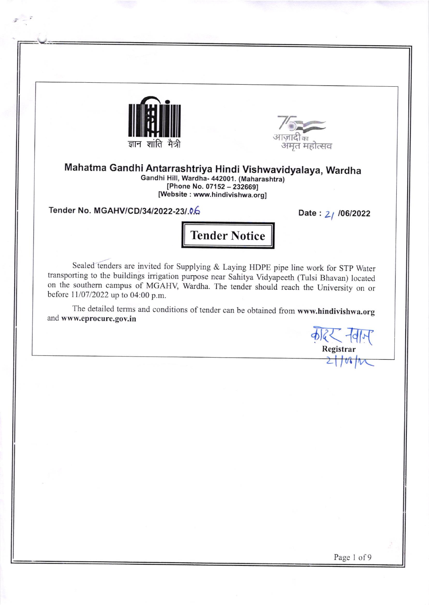



Mahatma Gandhi Antarrashtriya Hindi Vishwavidyalaya, Wardha candhi HiI, Wardha- 442001. (Maharashtra)  $[Phone No. 07152 - 232669]$ [Website : www.hlndivishwa.org]

Tender No. MGAHV/CD/34/2022-23/.0.6 Date: 21 /06/2022

;

Tender Notice

Sealed tenders are invited for Supplying & Laying HDPE pipe line work for STP Water transporting to the buildings irrigation purpose near Sahitya Vidyapeeth (Tulsi Bhavan) located on the southern campus of MGAHV, Wardha. The tender should reach the University on or before lll07/2022 up to 04:00 p.m.

The detailed terms and conditions of tender can be obtained from www.hindivishwa.org and www.eprocure.gov.in कोहर नवाम्<br>Registrar

Page 1 of 9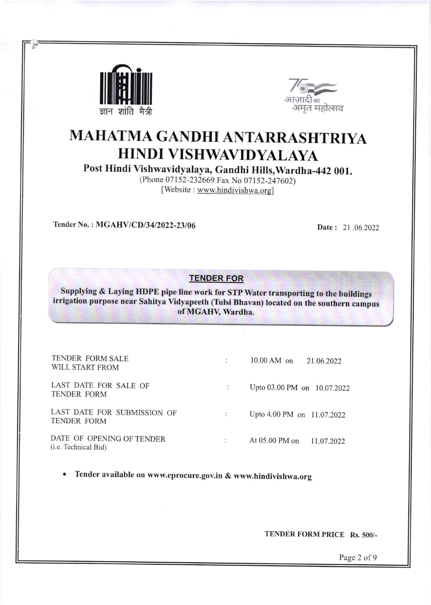



# MAHATMA GANDHI ANTARRASHTRIYA HINDI VISHWAVIDYALAYA

Post Hindi Vishwavidyalaya, Gandhi Hills,Wardha -442 001.

(Phone 07152-232669 Fax No 07152-247602) [Website : www.hindivishwa.org]

Tender No. : MGAHV/CD/34/2022-23/06 Date : 21 .06.2022

### TENDER FOR

Supplying & Laying HDPE pipe line work for STP Water transporting to the buildings irrigation purpose near Sahitya vidvapeeth (Tulsi Bhavan) located on the southern campus of MGAHV, Wardha.

| TENDER FORM SALE<br>WILL START FROM               |                | $10.00$ AM on               | 21.06.2022 |
|---------------------------------------------------|----------------|-----------------------------|------------|
| LAST DATE FOR SALE OF<br>TENDER FORM              |                | Upto 03.00 PM on 10.07.2022 |            |
| LAST DATE FOR SUBMISSION OF<br><b>TENDER FORM</b> | $\ddot{\cdot}$ | Upto 4.00 PM on 11.07.2022  |            |
| DATE OF OPENING OF TENDER<br>(i.e. Technical Bid) |                | At 05.00 PM on              | 11.07.2022 |

Tender available on www.eprocure.gov.in & www.hindivishwa.org

TENDER FORM PRICE Rs. 500/-

Page 2 of 9